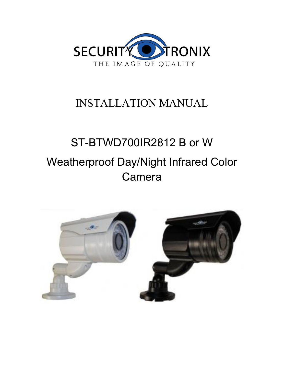

# INSTALLATION MANUAL

# ST-BTWD700IR2812 B or W Weatherproof Day/Night Infrared Color Camera

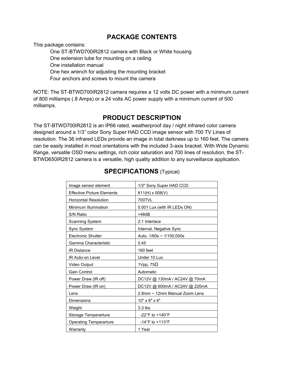### **PACKAGE CONTENTS**

This package contains:

One ST-BTWD700IR2812 camera with Black or White housing One extension tube for mounting on a ceiling One installation manual One hex wrench for adjusting the mounting bracket Four anchors and screws to mount the camera

NOTE: The ST-BTWD700IR2812 camera requires a 12 volts DC power with a minimum current of 800 milliamps (.8 Amps) or a 24 volts AC power supply with a minimum current of 500 milliamps.

# **PRODUCT DESCRIPTION**

The ST-BTWD700IR2812 is an IP66 rated, weatherproof day / night infrared color camera designed around a 1/3" color Sony Super HAD CCD image sensor with 700 TV Lines of resolution. The 36 infrared LEDs provide an image in total darkness up to 160 feet. The camera can be easily installed in most orientations with the included 3-axis bracket. With Wide Dynamic Range, versatile OSD menu settings, rich color saturation and 700 lines of resolution, the ST-BTWD650IR2812 camera is a versatile, high quality addition to any surveillance application.

| Image sensor element              | 1/3" Sony Super HAD CCD             |
|-----------------------------------|-------------------------------------|
| <b>Effective Picture Elements</b> | 811(H) x 508(V)                     |
| <b>Horizontal Resolution</b>      | 700TVL                              |
| Minimum Illumination              | 0.001 Lux (with IR LEDs ON)         |
| S/N Ratio                         | >48dB                               |
| Scanning System                   | 2:1 Interlace                       |
| Sync System                       | Internal, Negative Sync             |
| <b>Electronic Shutter</b>         | Auto, $1/60s \sim 1/100,000s$       |
| Gamma Characteristic              | 0.45                                |
| <b>IR Distance</b>                | 160 feet                            |
| IR Auto-on Level                  | Under 10 Lux                        |
| Video Output                      | 1Vpp, $75\Omega$                    |
| <b>Gain Control</b>               | Automatic                           |
| Power Draw (IR off)               | DC12V @ 130mA / AC24V @ 70mA        |
| Power Draw (IR on)                | DC12V @ 600mA / AC24V @ 220mA       |
| Lens                              | 2.8mm ~ 12mm Manual Zoom Lens       |
| Dimensions                        | $10" \times 6" \times 4"$           |
| Weight                            | $3.3$ lbs                           |
| Storage Temperarture              | $-22^{\circ}$ F to $+140^{\circ}$ F |
| <b>Operating Temperarture</b>     | $-14^{\circ}$ F to $+113^{\circ}$ F |
| Warranty                          | 1 Year                              |

# **SPECIFICATIONS** (Typical)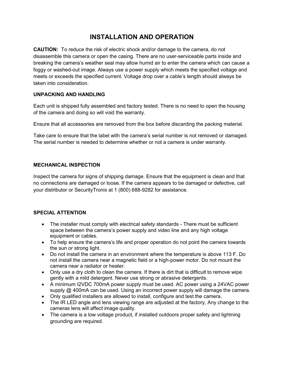# **INSTALLATION AND OPERATION**

**CAUTION:** To reduce the risk of electric shock and/or damage to the camera, do not disassemble this camera or open the casing. There are no user-serviceable parts inside and breaking the camera's weather seal may allow humid air to enter the camera which can cause a foggy or washed-out image. Always use a power supply which meets the specified voltage and meets or exceeds the specified current. Voltage drop over a cable's length should always be taken into consideration.

#### **UNPACKING AND HANDLING**

Each unit is shipped fully assembled and factory tested. There is no need to open the housing of the camera and doing so will void the warranty.

Ensure that all accessories are removed from the box before discarding the packing material.

Take care to ensure that the label with the camera's serial number is not removed or damaged. The serial number is needed to determine whether or not a camera is under warranty.

#### **MECHANICAL INSPECTION**

Inspect the camera for signs of shipping damage. Ensure that the equipment is clean and that no connections are damaged or loose. If the camera appears to be damaged or defective, call your distributor or SecurityTronix at 1 (800) 688-9282 for assistance.

#### **SPECIAL ATTENTION**

- · The installer must comply with electrical safety standards There must be sufficient space between the camera's power supply and video line and any high voltage equipment or cables.
- · To help ensure the camera's life and proper operation do not point the camera towards the sun or strong light.
- · Do not install the camera in an environment where the temperature is above 113 F. Do not install the camera near a magnetic field or a high-power motor. Do not mount the camera near a radiator or heater.
- · Only use a dry cloth to clean the camera. If there is dirt that is difficult to remove wipe gently with a mild detergent. Never use strong or abrasive detergents.
- · A minimum I2VDC 700mA power supply must be used. AC power using a 24VAC power supply @ 400mA can be used. Using an incorrect power supply will damage the camera.
- · Only qualified installers are allowed to install, configure and test the camera.
- The IR LED angle and lens viewing range are adjusted at the factory, Any change to the cameras lens will affect image quality.
- The camera is a low voltage product, if installed outdoors proper safety and lightning grounding are required.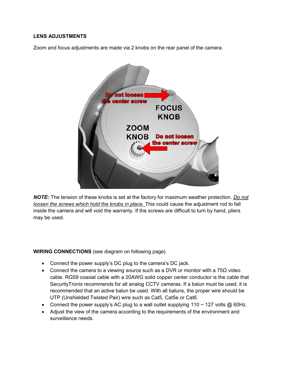#### **LENS ADJUSTMENTS**

Zoom and focus adjustments are made via 2 knobs on the rear panel of the camera.



*NOTE:* The tension of these knobs is set at the factory for maximum weather protection. *Do not loosen the screws which hold the knobs in place.* This could cause the adjustment rod to fall inside the camera and will void the warranty. If the screws are difficult to turn by hand, pliers may be used.

#### **WIRING CONNECTIONS** (see diagram on following page)

- · Connect the power supply's DC plug to the camera's DC jack.
- Connect the camera to a viewing source such as a DVR or monitor with a 75 $\Omega$  video cable. RG59 coaxial cable with a 20AWG solid copper center conductor is the cable that SecurityTronix recommends for all analog CCTV cameras. If a balun must be used, it is recommended that an active balun be used. With all baluns, the proper wire should be UTP (Unshielded Twisted Pair) wire such as Cat5, Cat5e or Cat6.
- Connect the power supply's AC plug to a wall outlet supplying  $110 \sim 127$  volts @ 60Hz.
- · Adjust the view of the camera according to the requirements of the environment and surveillance needs.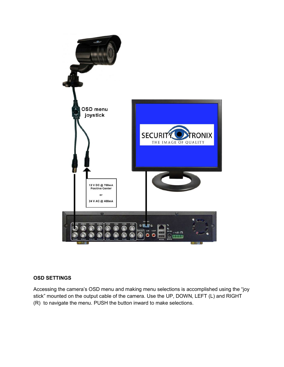

#### **OSD SETTINGS**

Accessing the camera's OSD menu and making menu selections is accomplished using the "joy stick" mounted on the output cable of the camera. Use the UP, DOWN, LEFT (L) and RIGHT (R) to navigate the menu. PUSH the button inward to make selections.